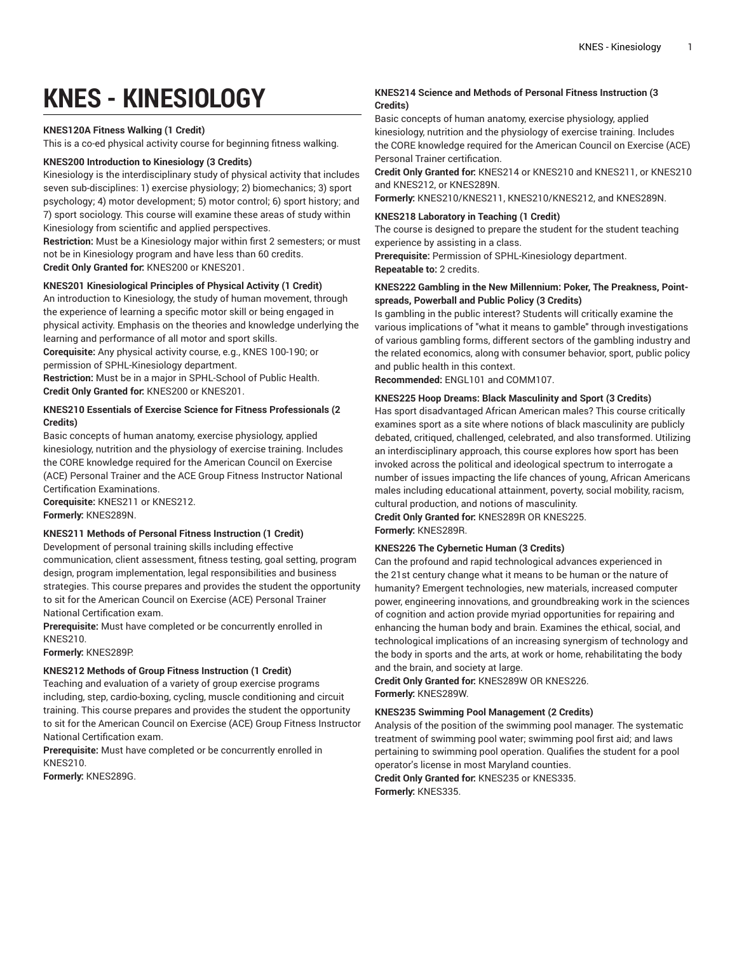# **KNES - KINESIOLOGY**

### **KNES120A Fitness Walking (1 Credit)**

This is a co-ed physical activity course for beginning fitness walking.

# **KNES200 Introduction to Kinesiology (3 Credits)**

Kinesiology is the interdisciplinary study of physical activity that includes seven sub-disciplines: 1) exercise physiology; 2) biomechanics; 3) sport psychology; 4) motor development; 5) motor control; 6) sport history; and 7) sport sociology. This course will examine these areas of study within Kinesiology from scientific and applied perspectives.

**Restriction:** Must be a Kinesiology major within first 2 semesters; or must not be in Kinesiology program and have less than 60 credits. **Credit Only Granted for:** KNES200 or KNES201.

#### **KNES201 Kinesiological Principles of Physical Activity (1 Credit)**

An introduction to Kinesiology, the study of human movement, through the experience of learning a specific motor skill or being engaged in physical activity. Emphasis on the theories and knowledge underlying the learning and performance of all motor and sport skills.

**Corequisite:** Any physical activity course, e.g., KNES 100-190; or permission of SPHL-Kinesiology department.

**Restriction:** Must be in a major in SPHL-School of Public Health. **Credit Only Granted for:** KNES200 or KNES201.

# **KNES210 Essentials of Exercise Science for Fitness Professionals (2 Credits)**

Basic concepts of human anatomy, exercise physiology, applied kinesiology, nutrition and the physiology of exercise training. Includes the CORE knowledge required for the American Council on Exercise (ACE) Personal Trainer and the ACE Group Fitness Instructor National Certification Examinations.

**Corequisite:** KNES211 or KNES212. **Formerly:** KNES289N.

#### **KNES211 Methods of Personal Fitness Instruction (1 Credit)**

Development of personal training skills including effective communication, client assessment, fitness testing, goal setting, program design, program implementation, legal responsibilities and business strategies. This course prepares and provides the student the opportunity to sit for the American Council on Exercise (ACE) Personal Trainer National Certification exam.

**Prerequisite:** Must have completed or be concurrently enrolled in KNES210.

**Formerly:** KNES289P.

#### **KNES212 Methods of Group Fitness Instruction (1 Credit)**

Teaching and evaluation of a variety of group exercise programs including, step, cardio-boxing, cycling, muscle conditioning and circuit training. This course prepares and provides the student the opportunity to sit for the American Council on Exercise (ACE) Group Fitness Instructor National Certification exam.

**Prerequisite:** Must have completed or be concurrently enrolled in KNES210.

**Formerly:** KNES289G.

# **KNES214 Science and Methods of Personal Fitness Instruction (3 Credits)**

Basic concepts of human anatomy, exercise physiology, applied kinesiology, nutrition and the physiology of exercise training. Includes the CORE knowledge required for the American Council on Exercise (ACE) Personal Trainer certification.

**Credit Only Granted for:** KNES214 or KNES210 and KNES211, or KNES210 and KNES212, or KNES289N.

**Formerly:** KNES210/KNES211, KNES210/KNES212, and KNES289N.

# **KNES218 Laboratory in Teaching (1 Credit)**

The course is designed to prepare the student for the student teaching experience by assisting in a class.

**Prerequisite:** Permission of SPHL-Kinesiology department. **Repeatable to:** 2 credits.

# **KNES222 Gambling in the New Millennium: Poker, The Preakness, Pointspreads, Powerball and Public Policy (3 Credits)**

Is gambling in the public interest? Students will critically examine the various implications of "what it means to gamble" through investigations of various gambling forms, different sectors of the gambling industry and the related economics, along with consumer behavior, sport, public policy and public health in this context.

**Recommended:** ENGL101 and COMM107.

# **KNES225 Hoop Dreams: Black Masculinity and Sport (3 Credits)**

Has sport disadvantaged African American males? This course critically examines sport as a site where notions of black masculinity are publicly debated, critiqued, challenged, celebrated, and also transformed. Utilizing an interdisciplinary approach, this course explores how sport has been invoked across the political and ideological spectrum to interrogate a number of issues impacting the life chances of young, African Americans males including educational attainment, poverty, social mobility, racism, cultural production, and notions of masculinity.

**Credit Only Granted for:** KNES289R OR KNES225.

# **Formerly:** KNES289R.

# **KNES226 The Cybernetic Human (3 Credits)**

Can the profound and rapid technological advances experienced in the 21st century change what it means to be human or the nature of humanity? Emergent technologies, new materials, increased computer power, engineering innovations, and groundbreaking work in the sciences of cognition and action provide myriad opportunities for repairing and enhancing the human body and brain. Examines the ethical, social, and technological implications of an increasing synergism of technology and the body in sports and the arts, at work or home, rehabilitating the body and the brain, and society at large.

**Credit Only Granted for:** KNES289W OR KNES226. **Formerly:** KNES289W.

# **KNES235 Swimming Pool Management (2 Credits)**

Analysis of the position of the swimming pool manager. The systematic treatment of swimming pool water; swimming pool first aid; and laws pertaining to swimming pool operation. Qualifies the student for a pool operator's license in most Maryland counties.

**Credit Only Granted for:** KNES235 or KNES335. **Formerly:** KNES335.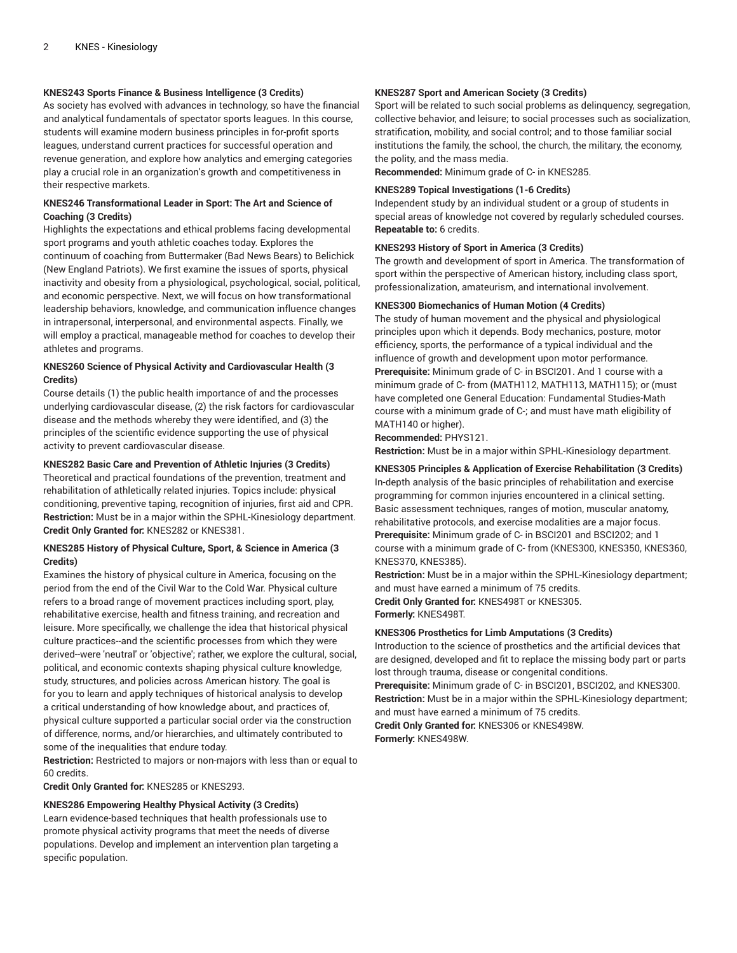# **KNES243 Sports Finance & Business Intelligence (3 Credits)**

As society has evolved with advances in technology, so have the financial and analytical fundamentals of spectator sports leagues. In this course, students will examine modern business principles in for-profit sports leagues, understand current practices for successful operation and revenue generation, and explore how analytics and emerging categories play a crucial role in an organization's growth and competitiveness in their respective markets.

# **KNES246 Transformational Leader in Sport: The Art and Science of Coaching (3 Credits)**

Highlights the expectations and ethical problems facing developmental sport programs and youth athletic coaches today. Explores the continuum of coaching from Buttermaker (Bad News Bears) to Belichick (New England Patriots). We first examine the issues of sports, physical inactivity and obesity from a physiological, psychological, social, political, and economic perspective. Next, we will focus on how transformational leadership behaviors, knowledge, and communication influence changes in intrapersonal, interpersonal, and environmental aspects. Finally, we will employ a practical, manageable method for coaches to develop their athletes and programs.

# **KNES260 Science of Physical Activity and Cardiovascular Health (3 Credits)**

Course details (1) the public health importance of and the processes underlying cardiovascular disease, (2) the risk factors for cardiovascular disease and the methods whereby they were identified, and (3) the principles of the scientific evidence supporting the use of physical activity to prevent cardiovascular disease.

#### **KNES282 Basic Care and Prevention of Athletic Injuries (3 Credits)**

Theoretical and practical foundations of the prevention, treatment and rehabilitation of athletically related injuries. Topics include: physical conditioning, preventive taping, recognition of injuries, first aid and CPR. **Restriction:** Must be in a major within the SPHL-Kinesiology department. **Credit Only Granted for:** KNES282 or KNES381.

#### **KNES285 History of Physical Culture, Sport, & Science in America (3 Credits)**

Examines the history of physical culture in America, focusing on the period from the end of the Civil War to the Cold War. Physical culture refers to a broad range of movement practices including sport, play, rehabilitative exercise, health and fitness training, and recreation and leisure. More specifically, we challenge the idea that historical physical culture practices--and the scientific processes from which they were derived--were 'neutral' or 'objective'; rather, we explore the cultural, social, political, and economic contexts shaping physical culture knowledge, study, structures, and policies across American history. The goal is for you to learn and apply techniques of historical analysis to develop a critical understanding of how knowledge about, and practices of, physical culture supported a particular social order via the construction of difference, norms, and/or hierarchies, and ultimately contributed to some of the inequalities that endure today.

**Restriction:** Restricted to majors or non-majors with less than or equal to 60 credits.

**Credit Only Granted for:** KNES285 or KNES293.

#### **KNES286 Empowering Healthy Physical Activity (3 Credits)**

Learn evidence-based techniques that health professionals use to promote physical activity programs that meet the needs of diverse populations. Develop and implement an intervention plan targeting a specific population.

#### **KNES287 Sport and American Society (3 Credits)**

Sport will be related to such social problems as delinquency, segregation, collective behavior, and leisure; to social processes such as socialization, stratification, mobility, and social control; and to those familiar social institutions the family, the school, the church, the military, the economy, the polity, and the mass media.

**Recommended:** Minimum grade of C- in KNES285.

#### **KNES289 Topical Investigations (1-6 Credits)**

Independent study by an individual student or a group of students in special areas of knowledge not covered by regularly scheduled courses. **Repeatable to:** 6 credits.

#### **KNES293 History of Sport in America (3 Credits)**

The growth and development of sport in America. The transformation of sport within the perspective of American history, including class sport, professionalization, amateurism, and international involvement.

#### **KNES300 Biomechanics of Human Motion (4 Credits)**

The study of human movement and the physical and physiological principles upon which it depends. Body mechanics, posture, motor efficiency, sports, the performance of a typical individual and the influence of growth and development upon motor performance. **Prerequisite:** Minimum grade of C- in BSCI201. And 1 course with a minimum grade of C- from (MATH112, MATH113, MATH115); or (must have completed one General Education: Fundamental Studies-Math course with a minimum grade of C-; and must have math eligibility of MATH140 or higher).

**Recommended:** PHYS121.

**Restriction:** Must be in a major within SPHL-Kinesiology department.

# **KNES305 Principles & Application of Exercise Rehabilitation (3 Credits)** In-depth analysis of the basic principles of rehabilitation and exercise programming for common injuries encountered in a clinical setting. Basic assessment techniques, ranges of motion, muscular anatomy, rehabilitative protocols, and exercise modalities are a major focus. **Prerequisite:** Minimum grade of C- in BSCI201 and BSCI202; and 1 course with a minimum grade of C- from (KNES300, KNES350, KNES360, KNES370, KNES385).

**Restriction:** Must be in a major within the SPHL-Kinesiology department; and must have earned a minimum of 75 credits. **Credit Only Granted for:** KNES498T or KNES305. **Formerly:** KNES498T.

#### **KNES306 Prosthetics for Limb Amputations (3 Credits)**

Introduction to the science of prosthetics and the artificial devices that are designed, developed and fit to replace the missing body part or parts lost through trauma, disease or congenital conditions.

**Prerequisite:** Minimum grade of C- in BSCI201, BSCI202, and KNES300. **Restriction:** Must be in a major within the SPHL-Kinesiology department; and must have earned a minimum of 75 credits.

**Credit Only Granted for:** KNES306 or KNES498W. **Formerly:** KNES498W.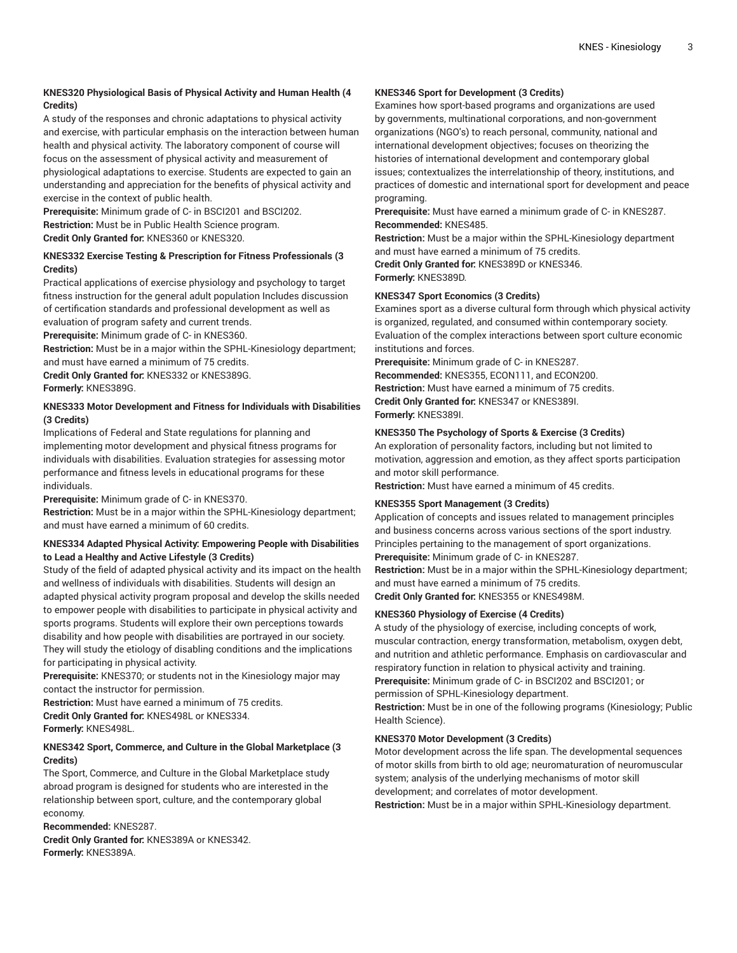# **KNES320 Physiological Basis of Physical Activity and Human Health (4 Credits)**

A study of the responses and chronic adaptations to physical activity and exercise, with particular emphasis on the interaction between human health and physical activity. The laboratory component of course will focus on the assessment of physical activity and measurement of physiological adaptations to exercise. Students are expected to gain an understanding and appreciation for the benefits of physical activity and exercise in the context of public health.

**Prerequisite:** Minimum grade of C- in BSCI201 and BSCI202. **Restriction:** Must be in Public Health Science program. **Credit Only Granted for:** KNES360 or KNES320.

# **KNES332 Exercise Testing & Prescription for Fitness Professionals (3 Credits)**

Practical applications of exercise physiology and psychology to target fitness instruction for the general adult population Includes discussion of certification standards and professional development as well as evaluation of program safety and current trends.

**Prerequisite:** Minimum grade of C- in KNES360.

**Restriction:** Must be in a major within the SPHL-Kinesiology department; and must have earned a minimum of 75 credits.

**Credit Only Granted for:** KNES332 or KNES389G.

**Formerly:** KNES389G.

# **KNES333 Motor Development and Fitness for Individuals with Disabilities (3 Credits)**

Implications of Federal and State regulations for planning and implementing motor development and physical fitness programs for individuals with disabilities. Evaluation strategies for assessing motor performance and fitness levels in educational programs for these individuals.

**Prerequisite:** Minimum grade of C- in KNES370.

**Restriction:** Must be in a major within the SPHL-Kinesiology department; and must have earned a minimum of 60 credits.

# **KNES334 Adapted Physical Activity: Empowering People with Disabilities to Lead a Healthy and Active Lifestyle (3 Credits)**

Study of the field of adapted physical activity and its impact on the health and wellness of individuals with disabilities. Students will design an adapted physical activity program proposal and develop the skills needed to empower people with disabilities to participate in physical activity and sports programs. Students will explore their own perceptions towards disability and how people with disabilities are portrayed in our society. They will study the etiology of disabling conditions and the implications for participating in physical activity.

**Prerequisite:** KNES370; or students not in the Kinesiology major may contact the instructor for permission.

**Restriction:** Must have earned a minimum of 75 credits. **Credit Only Granted for:** KNES498L or KNES334. **Formerly:** KNES498L.

# **KNES342 Sport, Commerce, and Culture in the Global Marketplace (3 Credits)**

The Sport, Commerce, and Culture in the Global Marketplace study abroad program is designed for students who are interested in the relationship between sport, culture, and the contemporary global economy.

**Recommended:** KNES287. **Credit Only Granted for:** KNES389A or KNES342. **Formerly:** KNES389A.

## **KNES346 Sport for Development (3 Credits)**

Examines how sport-based programs and organizations are used by governments, multinational corporations, and non-government organizations (NGO's) to reach personal, community, national and international development objectives; focuses on theorizing the histories of international development and contemporary global issues; contextualizes the interrelationship of theory, institutions, and practices of domestic and international sport for development and peace programing.

**Prerequisite:** Must have earned a minimum grade of C- in KNES287. **Recommended:** KNES485.

**Restriction:** Must be a major within the SPHL-Kinesiology department and must have earned a minimum of 75 credits.

**Credit Only Granted for:** KNES389D or KNES346.

**Formerly:** KNES389D.

# **KNES347 Sport Economics (3 Credits)**

Examines sport as a diverse cultural form through which physical activity is organized, regulated, and consumed within contemporary society. Evaluation of the complex interactions between sport culture economic institutions and forces.

**Prerequisite:** Minimum grade of C- in KNES287.

**Recommended:** KNES355, ECON111, and ECON200. **Restriction:** Must have earned a minimum of 75 credits. **Credit Only Granted for:** KNES347 or KNES389I. **Formerly:** KNES389I.

# **KNES350 The Psychology of Sports & Exercise (3 Credits)**

An exploration of personality factors, including but not limited to motivation, aggression and emotion, as they affect sports participation and motor skill performance.

**Restriction:** Must have earned a minimum of 45 credits.

# **KNES355 Sport Management (3 Credits)**

Application of concepts and issues related to management principles and business concerns across various sections of the sport industry. Principles pertaining to the management of sport organizations. **Prerequisite:** Minimum grade of C- in KNES287.

**Restriction:** Must be in a major within the SPHL-Kinesiology department; and must have earned a minimum of 75 credits.

**Credit Only Granted for:** KNES355 or KNES498M.

# **KNES360 Physiology of Exercise (4 Credits)**

A study of the physiology of exercise, including concepts of work, muscular contraction, energy transformation, metabolism, oxygen debt, and nutrition and athletic performance. Emphasis on cardiovascular and respiratory function in relation to physical activity and training.

**Prerequisite:** Minimum grade of C- in BSCI202 and BSCI201; or

permission of SPHL-Kinesiology department.

**Restriction:** Must be in one of the following programs (Kinesiology; Public Health Science).

# **KNES370 Motor Development (3 Credits)**

Motor development across the life span. The developmental sequences of motor skills from birth to old age; neuromaturation of neuromuscular system; analysis of the underlying mechanisms of motor skill development; and correlates of motor development.

**Restriction:** Must be in a major within SPHL-Kinesiology department.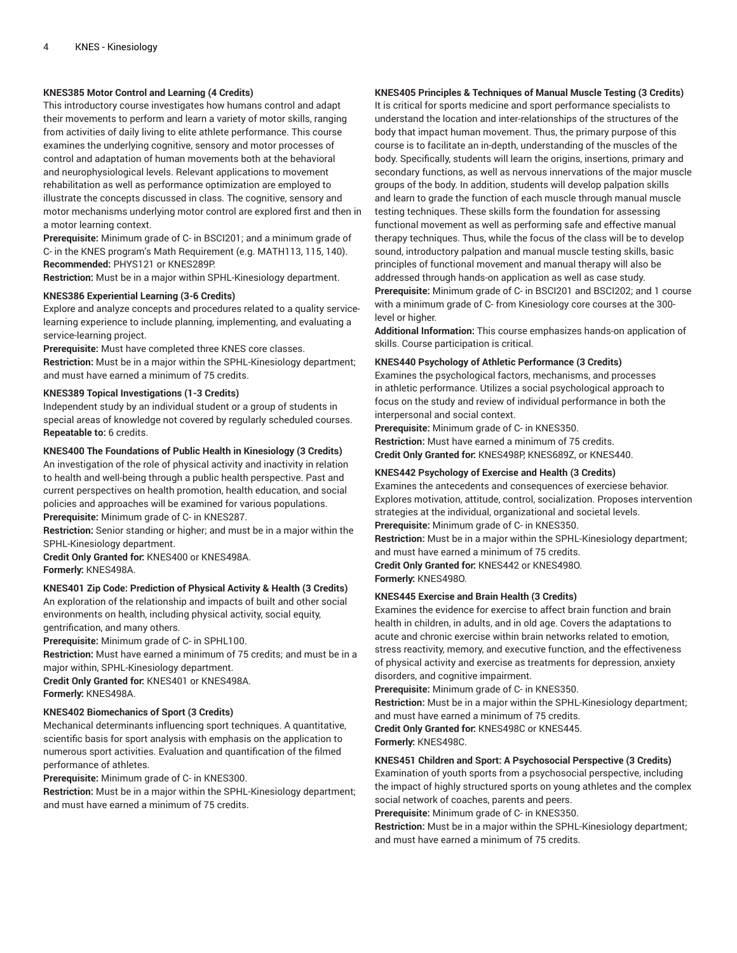# **KNES385 Motor Control and Learning (4 Credits)**

This introductory course investigates how humans control and adapt their movements to perform and learn a variety of motor skills, ranging from activities of daily living to elite athlete performance. This course examines the underlying cognitive, sensory and motor processes of control and adaptation of human movements both at the behavioral and neurophysiological levels. Relevant applications to movement rehabilitation as well as performance optimization are employed to illustrate the concepts discussed in class. The cognitive, sensory and motor mechanisms underlying motor control are explored first and then in a motor learning context.

**Prerequisite:** Minimum grade of C- in BSCI201; and a minimum grade of C- in the KNES program's Math Requirement (e.g. MATH113, 115, 140). **Recommended:** PHYS121 or KNES289P.

**Restriction:** Must be in a major within SPHL-Kinesiology department.

#### **KNES386 Experiential Learning (3-6 Credits)**

Explore and analyze concepts and procedures related to a quality servicelearning experience to include planning, implementing, and evaluating a service-learning project.

**Prerequisite:** Must have completed three KNES core classes.

**Restriction:** Must be in a major within the SPHL-Kinesiology department; and must have earned a minimum of 75 credits.

#### **KNES389 Topical Investigations (1-3 Credits)**

Independent study by an individual student or a group of students in special areas of knowledge not covered by regularly scheduled courses. **Repeatable to:** 6 credits.

# **KNES400 The Foundations of Public Health in Kinesiology (3 Credits)**

An investigation of the role of physical activity and inactivity in relation to health and well-being through a public health perspective. Past and current perspectives on health promotion, health education, and social policies and approaches will be examined for various populations. **Prerequisite:** Minimum grade of C- in KNES287.

**Restriction:** Senior standing or higher; and must be in a major within the SPHL-Kinesiology department.

**Credit Only Granted for:** KNES400 or KNES498A. **Formerly:** KNES498A.

# **KNES401 Zip Code: Prediction of Physical Activity & Health (3 Credits)**

An exploration of the relationship and impacts of built and other social environments on health, including physical activity, social equity, gentrification, and many others.

**Prerequisite:** Minimum grade of C- in SPHL100.

**Restriction:** Must have earned a minimum of 75 credits; and must be in a major within, SPHL-Kinesiology department.

**Credit Only Granted for:** KNES401 or KNES498A. **Formerly:** KNES498A.

#### **KNES402 Biomechanics of Sport (3 Credits)**

Mechanical determinants influencing sport techniques. A quantitative, scientific basis for sport analysis with emphasis on the application to numerous sport activities. Evaluation and quantification of the filmed performance of athletes.

**Prerequisite:** Minimum grade of C- in KNES300.

**Restriction:** Must be in a major within the SPHL-Kinesiology department; and must have earned a minimum of 75 credits.

# **KNES405 Principles & Techniques of Manual Muscle Testing (3 Credits)**

It is critical for sports medicine and sport performance specialists to understand the location and inter-relationships of the structures of the body that impact human movement. Thus, the primary purpose of this course is to facilitate an in-depth, understanding of the muscles of the body. Specifically, students will learn the origins, insertions, primary and secondary functions, as well as nervous innervations of the major muscle groups of the body. In addition, students will develop palpation skills and learn to grade the function of each muscle through manual muscle testing techniques. These skills form the foundation for assessing functional movement as well as performing safe and effective manual therapy techniques. Thus, while the focus of the class will be to develop sound, introductory palpation and manual muscle testing skills, basic principles of functional movement and manual therapy will also be addressed through hands-on application as well as case study. **Prerequisite:** Minimum grade of C- in BSCI201 and BSCI202; and 1 course with a minimum grade of C- from Kinesiology core courses at the 300 level or higher.

**Additional Information:** This course emphasizes hands-on application of skills. Course participation is critical.

#### **KNES440 Psychology of Athletic Performance (3 Credits)**

Examines the psychological factors, mechanisms, and processes in athletic performance. Utilizes a social psychological approach to focus on the study and review of individual performance in both the interpersonal and social context.

**Prerequisite:** Minimum grade of C- in KNES350.

**Restriction:** Must have earned a minimum of 75 credits. **Credit Only Granted for:** KNES498P, KNES689Z, or KNES440.

#### **KNES442 Psychology of Exercise and Health (3 Credits)**

Examines the antecedents and consequences of exerciese behavior. Explores motivation, attitude, control, socialization. Proposes intervention strategies at the individual, organizational and societal levels. **Prerequisite:** Minimum grade of C- in KNES350.

**Restriction:** Must be in a major within the SPHL-Kinesiology department; and must have earned a minimum of 75 credits.

**Credit Only Granted for:** KNES442 or KNES498O. **Formerly:** KNES498O.

#### **KNES445 Exercise and Brain Health (3 Credits)**

Examines the evidence for exercise to affect brain function and brain health in children, in adults, and in old age. Covers the adaptations to acute and chronic exercise within brain networks related to emotion, stress reactivity, memory, and executive function, and the effectiveness of physical activity and exercise as treatments for depression, anxiety disorders, and cognitive impairment.

**Prerequisite:** Minimum grade of C- in KNES350.

**Restriction:** Must be in a major within the SPHL-Kinesiology department; and must have earned a minimum of 75 credits.

**Credit Only Granted for:** KNES498C or KNES445. **Formerly:** KNES498C.

# **KNES451 Children and Sport: A Psychosocial Perspective (3 Credits)**

Examination of youth sports from a psychosocial perspective, including the impact of highly structured sports on young athletes and the complex social network of coaches, parents and peers.

**Prerequisite:** Minimum grade of C- in KNES350.

**Restriction:** Must be in a major within the SPHL-Kinesiology department; and must have earned a minimum of 75 credits.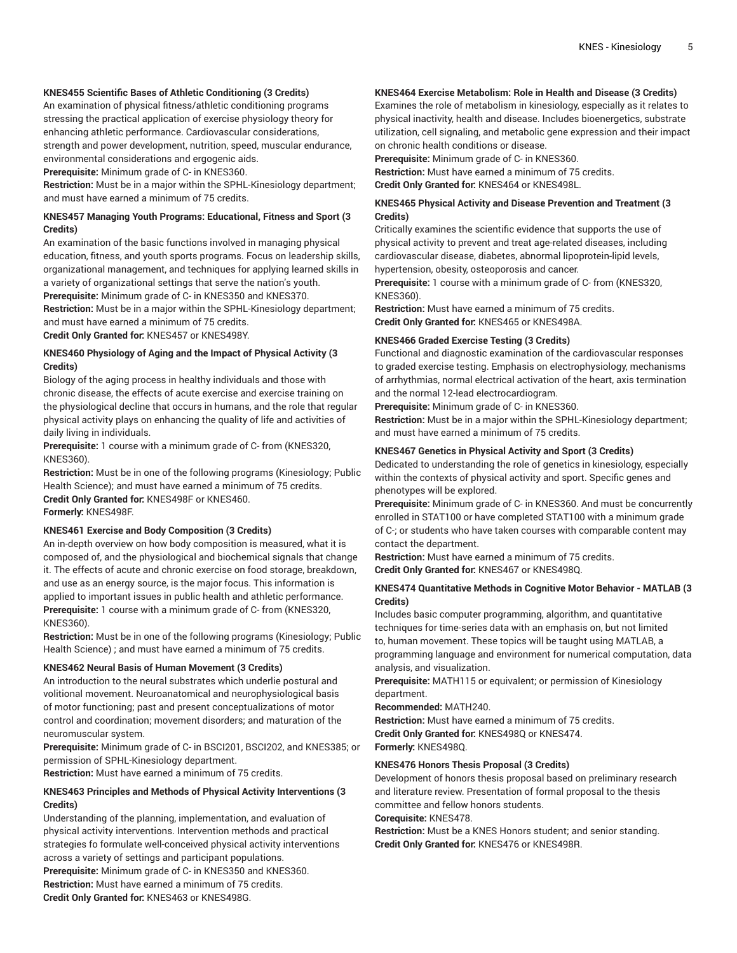# **KNES455 Scientific Bases of Athletic Conditioning (3 Credits)**

An examination of physical fitness/athletic conditioning programs stressing the practical application of exercise physiology theory for enhancing athletic performance. Cardiovascular considerations, strength and power development, nutrition, speed, muscular endurance, environmental considerations and ergogenic aids.

**Prerequisite:** Minimum grade of C- in KNES360.

**Restriction:** Must be in a major within the SPHL-Kinesiology department; and must have earned a minimum of 75 credits.

# **KNES457 Managing Youth Programs: Educational, Fitness and Sport (3 Credits)**

An examination of the basic functions involved in managing physical education, fitness, and youth sports programs. Focus on leadership skills, organizational management, and techniques for applying learned skills in a variety of organizational settings that serve the nation's youth.

**Prerequisite:** Minimum grade of C- in KNES350 and KNES370.

**Restriction:** Must be in a major within the SPHL-Kinesiology department; and must have earned a minimum of 75 credits.

**Credit Only Granted for:** KNES457 or KNES498Y.

# **KNES460 Physiology of Aging and the Impact of Physical Activity (3 Credits)**

Biology of the aging process in healthy individuals and those with chronic disease, the effects of acute exercise and exercise training on the physiological decline that occurs in humans, and the role that regular physical activity plays on enhancing the quality of life and activities of daily living in individuals.

**Prerequisite:** 1 course with a minimum grade of C- from (KNES320, KNES360).

**Restriction:** Must be in one of the following programs (Kinesiology; Public Health Science); and must have earned a minimum of 75 credits. **Credit Only Granted for:** KNES498F or KNES460. **Formerly:** KNES498F.

#### **KNES461 Exercise and Body Composition (3 Credits)**

An in-depth overview on how body composition is measured, what it is composed of, and the physiological and biochemical signals that change it. The effects of acute and chronic exercise on food storage, breakdown, and use as an energy source, is the major focus. This information is applied to important issues in public health and athletic performance. **Prerequisite:** 1 course with a minimum grade of C- from (KNES320, KNES360).

**Restriction:** Must be in one of the following programs (Kinesiology; Public Health Science) ; and must have earned a minimum of 75 credits.

# **KNES462 Neural Basis of Human Movement (3 Credits)**

An introduction to the neural substrates which underlie postural and volitional movement. Neuroanatomical and neurophysiological basis of motor functioning; past and present conceptualizations of motor control and coordination; movement disorders; and maturation of the neuromuscular system.

**Prerequisite:** Minimum grade of C- in BSCI201, BSCI202, and KNES385; or permission of SPHL-Kinesiology department.

**Restriction:** Must have earned a minimum of 75 credits.

# **KNES463 Principles and Methods of Physical Activity Interventions (3 Credits)**

Understanding of the planning, implementation, and evaluation of physical activity interventions. Intervention methods and practical strategies fo formulate well-conceived physical activity interventions across a variety of settings and participant populations.

**Prerequisite:** Minimum grade of C- in KNES350 and KNES360. **Restriction:** Must have earned a minimum of 75 credits. **Credit Only Granted for:** KNES463 or KNES498G.

# **KNES464 Exercise Metabolism: Role in Health and Disease (3 Credits)**

Examines the role of metabolism in kinesiology, especially as it relates to physical inactivity, health and disease. Includes bioenergetics, substrate utilization, cell signaling, and metabolic gene expression and their impact on chronic health conditions or disease.

**Prerequisite:** Minimum grade of C- in KNES360. **Restriction:** Must have earned a minimum of 75 credits. **Credit Only Granted for:** KNES464 or KNES498L.

# **KNES465 Physical Activity and Disease Prevention and Treatment (3 Credits)**

Critically examines the scientific evidence that supports the use of physical activity to prevent and treat age-related diseases, including cardiovascular disease, diabetes, abnormal lipoprotein-lipid levels, hypertension, obesity, osteoporosis and cancer.

**Prerequisite:** 1 course with a minimum grade of C- from (KNES320, KNES360).

**Restriction:** Must have earned a minimum of 75 credits. **Credit Only Granted for:** KNES465 or KNES498A.

#### **KNES466 Graded Exercise Testing (3 Credits)**

Functional and diagnostic examination of the cardiovascular responses to graded exercise testing. Emphasis on electrophysiology, mechanisms of arrhythmias, normal electrical activation of the heart, axis termination and the normal 12-lead electrocardiogram.

**Prerequisite:** Minimum grade of C- in KNES360.

**Restriction:** Must be in a major within the SPHL-Kinesiology department; and must have earned a minimum of 75 credits.

#### **KNES467 Genetics in Physical Activity and Sport (3 Credits)**

Dedicated to understanding the role of genetics in kinesiology, especially within the contexts of physical activity and sport. Specific genes and phenotypes will be explored.

**Prerequisite:** Minimum grade of C- in KNES360. And must be concurrently enrolled in STAT100 or have completed STAT100 with a minimum grade of C-; or students who have taken courses with comparable content may contact the department.

**Restriction:** Must have earned a minimum of 75 credits.

**Credit Only Granted for:** KNES467 or KNES498Q.

# **KNES474 Quantitative Methods in Cognitive Motor Behavior - MATLAB (3 Credits)**

Includes basic computer programming, algorithm, and quantitative techniques for time-series data with an emphasis on, but not limited to, human movement. These topics will be taught using MATLAB, a programming language and environment for numerical computation, data analysis, and visualization.

**Prerequisite:** MATH115 or equivalent; or permission of Kinesiology department.

**Recommended:** MATH240.

**Restriction:** Must have earned a minimum of 75 credits. **Credit Only Granted for:** KNES498Q or KNES474.

**Formerly:** KNES498Q.

### **KNES476 Honors Thesis Proposal (3 Credits)**

Development of honors thesis proposal based on preliminary research and literature review. Presentation of formal proposal to the thesis committee and fellow honors students.

**Corequisite:** KNES478.

**Restriction:** Must be a KNES Honors student; and senior standing. **Credit Only Granted for:** KNES476 or KNES498R.